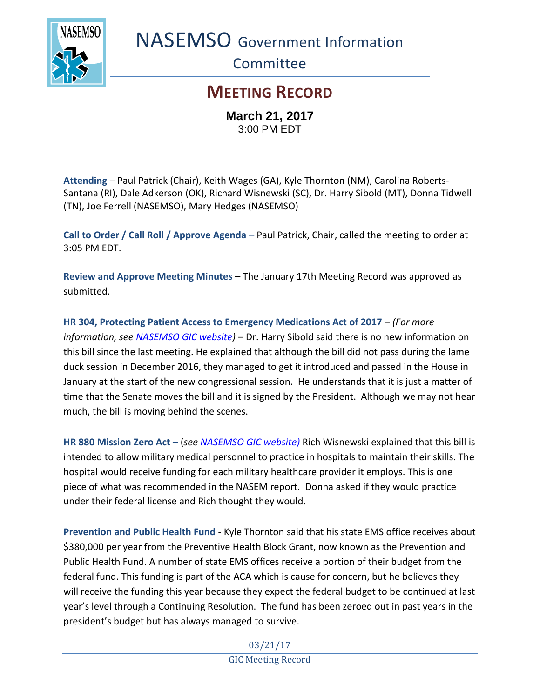

NASEMSO Government Information

**Committee** 

## **MEETING RECORD**

**March 21, 2017** 3:00 PM EDT

**Attending** – Paul Patrick (Chair), Keith Wages (GA), Kyle Thornton (NM), Carolina Roberts-Santana (RI), Dale Adkerson (OK), Richard Wisnewski (SC), Dr. Harry Sibold (MT), Donna Tidwell (TN), Joe Ferrell (NASEMSO), Mary Hedges (NASEMSO)

**Call to Order / Call Roll / Approve Agenda** – Paul Patrick, Chair, called the meeting to order at 3:05 PM EDT.

**Review and Approve Meeting Minutes** – The January 17th Meeting Record was approved as submitted.

**HR 304, Protecting Patient Access to Emergency Medications Act of 2017** – *(For more information, see [NASEMSO GIC website\)](https://www.nasemso.org/Projects/Legislative-Regulatory-Issues.asp)* – Dr. Harry Sibold said there is no new information on this bill since the last meeting. He explained that although the bill did not pass during the lame duck session in December 2016, they managed to get it introduced and passed in the House in January at the start of the new congressional session. He understands that it is just a matter of time that the Senate moves the bill and it is signed by the President. Although we may not hear much, the bill is moving behind the scenes.

**HR 880 Mission Zero Act** – (*see [NASEMSO GIC website\)](https://www.nasemso.org/Projects/Legislative-Regulatory-Issues.asp)* Rich Wisnewski explained that this bill is intended to allow military medical personnel to practice in hospitals to maintain their skills. The hospital would receive funding for each military healthcare provider it employs. This is one piece of what was recommended in the NASEM report. Donna asked if they would practice under their federal license and Rich thought they would.

**Prevention and Public Health Fund** - Kyle Thornton said that his state EMS office receives about \$380,000 per year from the Preventive Health Block Grant, now known as the Prevention and Public Health Fund. A number of state EMS offices receive a portion of their budget from the federal fund. This funding is part of the ACA which is cause for concern, but he believes they will receive the funding this year because they expect the federal budget to be continued at last year's level through a Continuing Resolution. The fund has been zeroed out in past years in the president's budget but has always managed to survive.

> 03/21/17 GIC Meeting Record